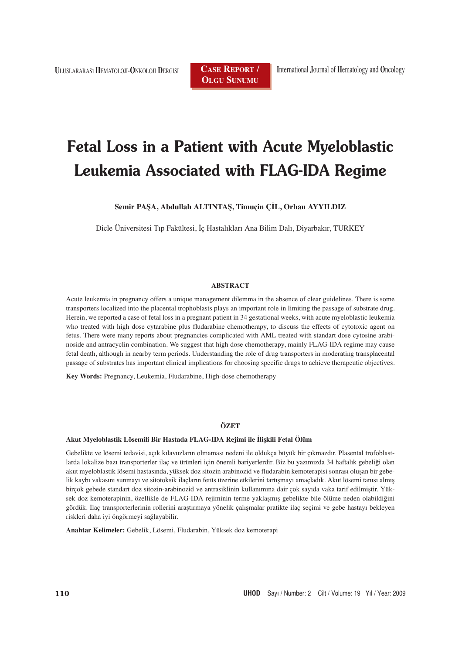**<sup>U</sup>**LUSLARARASı **H**EMATOLOJI-**O**NKOLOJI **<sup>D</sup>**ERGISI **CASE REPORT /**

**OLGU SUNUMU**

# **Fetal Loss in a Patient with Acute Myeloblastic Leukemia Associated with FLAG-IDA Regime**

**Semir PAŞA, Abdullah ALTINTAŞ, Timuçin ÇİL, Orhan AYYILDIZ**

Dicle Üniversitesi Tıp Fakültesi, İç Hastalıkları Ana Bilim Dalı, Diyarbakır, TURKEY

# **ABSTRACT**

Acute leukemia in pregnancy offers a unique management dilemma in the absence of clear guidelines. There is some transporters localized into the placental trophoblasts plays an important role in limiting the passage of substrate drug. Herein, we reported a case of fetal loss in a pregnant patient in 34 gestational weeks, with acute myeloblastic leukemia who treated with high dose cytarabine plus fludarabine chemotherapy, to discuss the effects of cytotoxic agent on fetus. There were many reports about pregnancies complicated with AML treated with standart dose cytosine arabinoside and antracyclin combination. We suggest that high dose chemotherapy, mainly FLAG-IDA regime may cause fetal death, although in nearby term periods. Understanding the role of drug transporters in moderating transplacental passage of substrates has important clinical implications for choosing specific drugs to achieve therapeutic objectives.

**Key Words:** Pregnancy, Leukemia, Fludarabine, High-dose chemotherapy

#### **ÖZET**

#### **Akut Myeloblastik Lösemili Bir Hastada FLAG-IDA Rejimi ile İlişkili Fetal Ölüm**

Gebelikte ve lösemi tedavisi, açık kılavuzların olmaması nedeni ile oldukça büyük bir çıkmazdır. Plasental trofoblastlarda lokalize bazı transporterler ilaç ve ürünleri için önemli bariyerlerdir. Biz bu yazımızda 34 haftalık gebeliği olan akut myeloblastik lösemi hastasında, yüksek doz sitozin arabinozid ve fludarabin kemoterapisi sonrası oluşan bir gebelik kaybı vakasını sunmayı ve sitotoksik ilaçların fetüs üzerine etkilerini tartışmayı amaçladık. Akut lösemi tanısı almış birçok gebede standart doz sitozin-arabinozid ve antrasiklinin kullanımına dair çok sayıda vaka tarif edilmiştir. Yüksek doz kemoterapinin, özellikle de FLAG-IDA rejiminin terme yaklaşmış gebelikte bile ölüme neden olabildiğini gördük. İlaç transporterlerinin rollerini araştırmaya yönelik çalışmalar pratikte ilaç seçimi ve gebe hastayı bekleyen riskleri daha iyi öngörmeyi sağlayabilir.

**Anahtar Kelimeler:** Gebelik, Lösemi, Fludarabin, Yüksek doz kemoterapi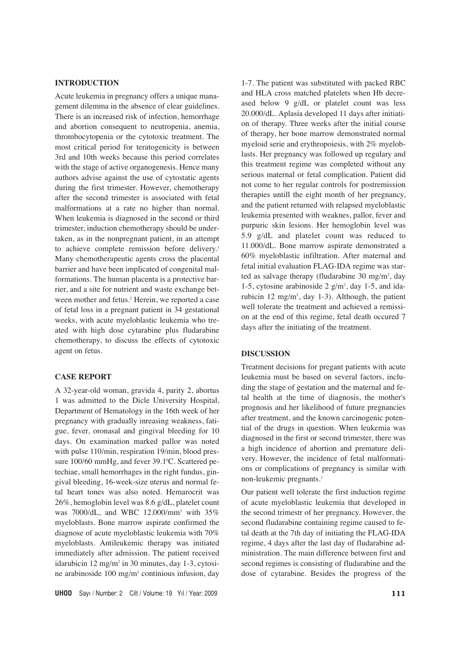# **INTRODUCTION**

Acute leukemia in pregnancy offers a unique management dilemma in the absence of clear guidelines. There is an increased risk of infection, hemorrhage and abortion consequent to neutropenia, anemia, thrombocytopenia or the cytotoxic treatment. The most critical period for teratogenicity is between 3rd and 10th weeks because this period correlates with the stage of active organogenesis. Hence many authors advise against the use of cytostatic agents during the first trimester. However, chemotherapy after the second trimester is associated with fetal malformations at a rate no higher than normal. When leukemia is diagnosed in the second or third trimester, induction chemotherapy should be undertaken, as in the nonpregnant patient, in an attempt to achieve complete remission before delivery.<sup>1</sup> Many chemotherapeutic agents cross the placental barrier and have been implicated of congenital malformations. The human placenta is a protective barrier, and a site for nutrient and waste exchange between mother and fetus.<sup>2</sup> Herein, we reported a case of fetal loss in a pregnant patient in 34 gestational weeks, with acute myeloblastic leukemia who treated with high dose cytarabine plus fludarabine chemotherapy, to discuss the effects of cytotoxic agent on fetus.

## **CASE REPORT**

A 32-year-old woman, gravida 4, parity 2, abortus 1 was admitted to the Dicle University Hospital, Department of Hematology in the 16th week of her pregnancy with gradually inreasing weakness, fatigue, fever, oronasal and gingival bleeding for 10 days. On examination marked pallor was noted with pulse 110/min, respiration 19/min, blood pressure 100/60 mmHg, and fever 39.1°C. Scattered petechiae, small hemorrhages in the right fundus, gingival bleeding, 16-week-size uterus and normal fetal heart tones was also noted. Hemarocrit was 26%, hemoglobin level was 8.6 g/dL, platelet count was 7000/dL, and WBC 12.000/mm3 with 35% myeloblasts. Bone marrow aspirate confirmed the diagnose of acute myeloblastic leukemia with 70% myeloblasts. Antileukemic therapy was initiated immediately after admission. The patient received idarubicin 12 mg/m<sup>2</sup> in 30 minutes, day 1-3, cytosine arabinoside 100 mg/m2 continious infusion, day

**UHOD** Say› / Number: 2 Cilt / Volume: 19 Y›l / Year: 2009 **111**

1-7. The patient was substituted with packed RBC and HLA cross matched platelets when Hb decreased below 9 g/dL or platelet count was less 20.000/dL. Aplasia developed 11 days after initiation of therapy. Three weeks after the initial course of therapy, her bone marrow demonstrated normal myeloid serie and erythropoiesis, with 2% myeloblasts. Her pregnancy was followed up regulary and this treatment regime was completed without any serious maternal or fetal complication. Patient did not come to her regular controls for postremission therapies untill the eight month of her pregnancy, and the patient returned with relapsed myeloblastic leukemia presented with weaknes, pallor, fever and purpuric skin lesions. Her hemoglobin level was 5.9 g/dL and platelet count was reduced to 11.000/dL. Bone marrow aspirate demonstrated a 60% myeloblastic infiltration. After maternal and fetal initial evaluation FLAG-IDA regime was started as salvage therapy (fludarabine 30 mg/m<sup>2</sup>, day 1-5, cytosine arabinoside 2  $g/m^2$ , day 1-5, and idarubicin 12 mg/m2 , day 1-3). Although, the patient well tolerate the treatment and achieved a remission at the end of this regime, fetal death occured 7 days after the initiating of the treatment.

## **DISCUSSION**

Treatment decisions for pregant patients with acute leukemia must be based on several factors, including the stage of gestation and the maternal and fetal health at the time of diagnosis, the mother's prognosis and her likelihood of future pregnancies after treatment, and the known carcinogenic potential of the drugs in question. When leukemia was diagnosed in the first or second trimester, there was a high incidence of abortion and premature delivery. However, the incidence of fetal malformations or complications of pregnancy is similar with non-leukemic pregnants.<sup>1</sup>

Our patient well tolerate the first induction regime of acute myeloblastic leukemia that developed in the second trimestr of her pregnancy. However, the second fludarabine containing regime caused to fetal death at the 7th day of initiating the FLAG-IDA regime, 4 days after the last day of fludarabine administration. The main difference between first and second regimes is consisting of fludarabine and the dose of cytarabine. Besides the progress of the